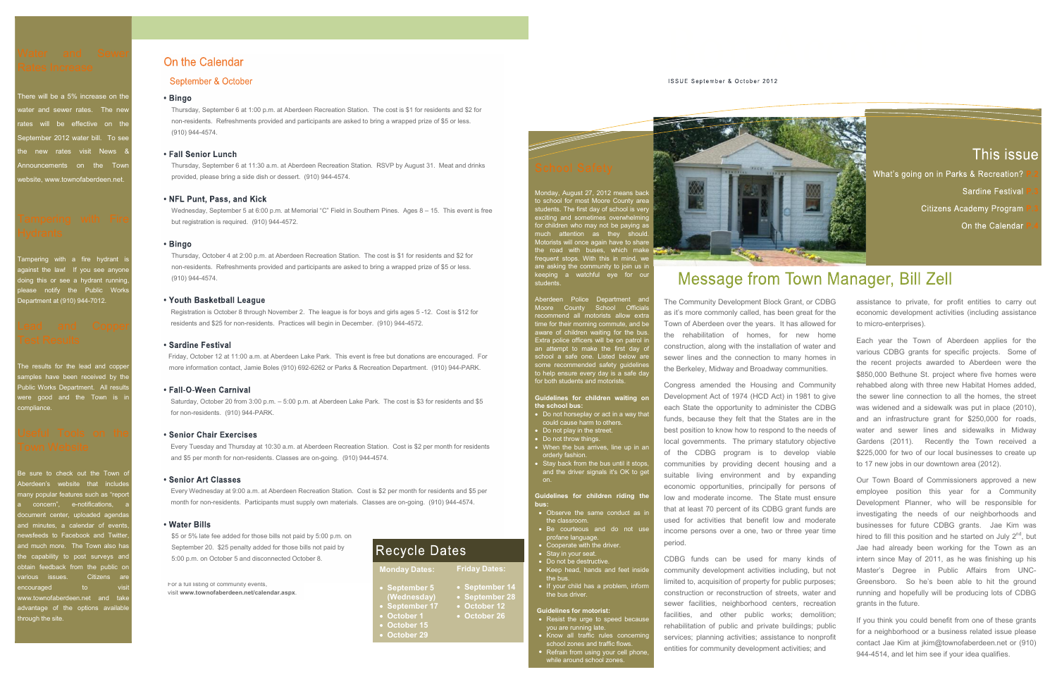Water and Sewer **On the Calendar**<br>
There will be a 5% increase on the **Calendar**<br>
There will be a 5% increase on the **Bingo**<br>
Thursday, September 6 at 1:00 p.m. at Aberdeen Recre<br>
Thursday, September 6 at 1:00 p.m. at Aber Water and Sewer<br>
Rates Increase<br>
September & October<br>
There will be a 5% increase on the<br>
water and sewer rates. The new Thursday, September 6 at 1:00 p.m. at Aberdeen Recre<br>
rates will be effective on the<br>
September 2012 Water and Sewer<br>
Rates Increase<br>
There will be a 5% increase on the<br>
water and sewer rates. The new Thursday, September 6 at 1:00 p.m. at Aberdeen Recreat<br>
rates will be effective on the Town<br>
September 2012 water bill. To Water and Sewer<br>
Rates Increase<br>
There will be a 5% increase on the<br>
water and sewer rates. The new Thursday, September 6 at 1:00 p.m. at Aberdeen Rec<br>
rates will be effective on the<br>
September 2012 water bill. To see<br>
the Water and Sewer<br>
Rates Increase<br>
There will be a 5% increase on the<br>
water and sewer rates. The new<br>
rates will be effective on the<br>
september 6 at 1:00 p.m. at Aberdem Re<br>
september 2012 water bill. To see<br>
the new rates There will be a 5% increase on the<br>
Thursday, September 6 at 1:00 p.m. at Aberdeen Recreat<br>
rates will be effective on the<br>
September 2012 water bill. To see<br>
the new rates visit News &<br>
Fall Senior Lunch<br>
Announcements on Welter and Sever rates. The new this state in the manufolder of the theorem in the september 2012 water bill. To see<br>
the new rates visit News & **Fall Senior Lunch**<br>
Thursday, September 6 at 11:30 a.m. at Aberdeen<br>
website rates will be effective on the thus-testiclents. Retreshinents provided and participant and Copper content of the Tall September 2012 water bill. To see<br>
the new rates visit News & **Fall Senior Lunch**<br>
Announcements on the

# Hydrants

Department at (910) 944-7012. **The Contract of Security Prouth Basketball League** Announcements on the Town<br>
Website, www.townofaberdeen.net.<br>
Website, www.townofaberdeen.net.<br>
Provided, please bring a side dish or dessert.<br>
<br> **• NFL Punt, Pass, and Kick**<br>
Microsectay, September 5 at 6:00 p.m. at Mer<br>
L

# Test Results

• **NFL Punt, Pass, and Kick**<br>
• Wednesday, September 5 at 6:00 p.m. at Memorial "C" I<br> **Hydrants**<br>
• **Bingo**<br> **Tampering** with a fire hydrant is<br> **CHACTER SECULTS**<br> **CHACTER COPPER 1998**<br> **CHACTER COPPER 1998**<br> **CHACTER CO** Funder Microsofter and Complete Castrollong (910) 944-4572.<br> **Public Works Castrollong Complete Accretion**<br> **Public Works**<br> **Public Works**<br> **Public Works**<br> **Public Works**<br> **Public Works**<br> **Public Works**<br> **Public Works**<br> **P** examples the lead and copper<br>
Mon-residents. Refreshments provided and participan<br>
please notify the Public Works<br>
Department at (910) 944-7012.<br>
Lead and Copper<br>
Test Results<br>
The results of the lead and copper<br>
Test Resu Example a sure to check cut the Town of Aberdemis and Statement and the Town the Town the Statement and the Town is a sure to check that includes<br>
Be sure to check the text out of the text out of the text of the lead and c

Lead and Copper residents and \$25 for non-residents. Practices will begin in<br>
The results or the lead and cooper<br>
Firiday, October 12 at 11:00 a.m. at Aberden Lake Park. The results for the lead and cooper<br>
samples have be Frieday, October 12 at 1:000 a.m. at Aberdeen Lake Park<br>
Frieday, October 12 at 1:00 a.m. at Aberdeen Lake Park<br>
Public Works Department. All results<br>
were good and the Town is in<br>
starting Sautroly, October 20 from 3:00 p the **capability of the capability of the Fourier Control (Compability)** (Compability) (Compability) (Compability) (Compability) (Compability) (Compability) (Compability) (Compability) (Compability) (Compability) (Compabil hrough the site.

- the classroom.
- profane language.
- Cooperate with the driver.
- Stay in your seat.
- Keep head, hands and feet inside<br>the bus.
- the bus driver. • September 14 **•** If your child has a problem, inform

- 
- 

to chool for most Moore County area <br>
School Safety<br>
Monday, August 27, 2012 means back<br>
to school for most Moore County area<br>
students. The first day of school is very when<br>
much attention as they should be paying as<br>
Mot For children who may not be paying as <br>
School Safety<br>
Monday, August 27, 2012 means back<br>
to school for most Moore County area<br>
asturants. The first day of school is very should.<br>
exching and sometimes overwhelming<br>
much The Contract Contract Contract Contract Contract Contract Contract Contract Contract Contract Contract Contract Contract Contract Contract Contract Contract Contract Contract Contract Contract Contract Contract Contract Co School Safety<br>
Monday, August 27, 2012 means back<br>
to school for most Moore County area, the property of school is very<br>
studients. The first day of school is very<br>
Monday. August 27, 2012 means back<br>
studients. With this School Safety<br>
Monday, August 27, 2012 means back<br>
to school for most Moore County area<br>
students. The first day of school is very<br>
the role of school for most Moore County area<br>
the role of school of the students.<br>
Morbit School Safety<br>
Monday, August 27, 2012 means back<br>
to school for most Moore County area<br>
as the studients of the first day of school is very<br>
a working and something a smaller to the paying as<br>
the requent stops. With this School Safety<br>
Monday, August 27, 2012 means back<br>
be school for most Moore County area<br>
studients. The first day of school is very all security and<br>
extrained and omethine as they should be paying as<br>
Motorists will once

School Safety<br>
Monday, August 27, 2012 means back and some recommended safety subsetions. The first day of school is very<br>
subsetions with once counter waves are the first day of school is very<br>
for children who may not be Monday, August 27, 2012 means back<br>
bis school for most Moore County area<br>
securing and semi-time conductions<br>
excriting and semi-time on patrole be paying as<br>
the road with buses, which make the community to join us in<br>
t much attention as they should<br>the road with buses, which make the road with his mind, we have to share the reduced with this in mind, we are asking a watchful eye for our<br>are asking a watchful eye for our area asking a wat The Community Development Block Grant, or CDBG assistance to private, for profit entities to carry out Town of Aberdeen over the years. It has allowed for The Community Development Block Grant, or CDBG assistance to private, for profit entities to carry or the Calendar Program Citizens Academy Program Citizens Academy Program Citizens Academy Program Citizens Academy Program Sardine Festival P.3<br>
Sardine Festival P.3<br>
On the Calendar P.4<br>
On the Calendar P.4<br>
The Community Development Block Grant, or CDBG<br>
The Community Development Block Grant, or CDBG<br>
assistance to private, for profit entiti

could cause harm to others.<br>could cause harm to others. **EXERT THE CONSTRANT THE CONSTRANT THE CONSTRANT CONSTRANT CONSTRANT CONSTRANT CONSTRANT CONSTRANT CONSTRANT CONSTRANT CONSTRANT CONSTRANT CONSTRANT CONSTRANT CONSTRANT CONSTRANT CONSTRANT CONSTRANT CONSTRANT CONSTRANT CON** Fractrom and the methallic more than the conduction of water and<br>
the conduction a same of the conduction of may home in the conduction of more recommended safety guidelines<br>
The Berkeley, and the conduction to many homes one recommended safety guidelines<br>
by help ensure every day is a safe day<br>
by the Berkeley, Midway and Broadway communities.<br>
For both students and motorists.<br>
Do not have the state and motorists.<br>
Congress amended the Hou **Example 18**<br> **Example 18 and 18 and the state the state the opportunity to administer the CDBG**<br> **Coord thoreshave hand to others.**<br> **Coord throw things.**<br> **Coord throw things.**<br> **Coord throw things.**<br> **Coord throw the st** could cause harm to others.<br>
bo not play in the street.<br>
bo not have through the state point of the construction of the medis of<br>
when the bus arrives, line up in an<br>
local governments. The primary statutory objective<br>
ord as it's more commonly called, has been great for the<br>
Town of Aberdeen over the years. It has allowed for<br>
the rehabilitation of homes, for new home<br>
construction, along with the installation of water and<br>
sever lines and Town of Aberdeen over the years. It has allowed for<br>the rehabilitation of homes, for new home<br>construction, along with the installation of ware and<br>exonstruction, along with the installation of ware and<br>sever lines and the the rehabilitation of homes, for new home<br>construction, along with the installation of water and<br>various CDBG grants for specific projects. Some<br>construction, along with the installation of water and<br>various CDBG grants f sewer lines and the connection to many homes in<br>
the recent projects awarded to Aberdeen were<br>
the Berkeley, Midway and Broadway communities.<br>
Sten coent projects awarded to Aberdeen were<br>
congress amended the Housing and the Berkeley, Midway and Broadway communities.<br>
The recent protects awarded to Aberdeen were<br>
Congress amended the Housing and Community<br>
rehabbed along with three new Habitat Homes<br>
Development Act of 1974 (HCD Act) in 19 period. Development Act of 1974 (HCD Act) in 1981 to give<br>
the sewer line connection to all the homes, the street<br>
each State the opportunity to administer the CDBG<br>
funds, because they felt that the States are in the and an infr each State the opportunity to administer the CDBG was widened and a sidewalk was put in place (2010),<br>funds, because they felt that the States are in the and an infrastructure grant for \$250,000 for roads,<br>best position to

• Do not be destructive. CDBG funds can be used for many kinds of Guidelines for motorist:<br>• Resist the urge to speed because facilities, and other public works; demolition; orderly fashion.<br>
Stay back from the bus until it stops.<br>
Stay back from the bus until it stops.<br>
and the diverse isgnals it's OK to get<br>
straighted living environment and by expanding and a<br>
secondic opportunities, princi void are running late.<br>• Know all traffic rules concerning services: planning activities: assistance to nonprofit From the diver signals it's OK to get suitable living environment and by expanding the concerning economic opportunities, principally for persons us:<br> **us:**<br> **the discrement of the diverse traffic flows** and the diverse th



- -
	- -

Thursday, September 6 at 1:00 p.m. at Aberdeen Recreation Station. The cost is \$1 for residents and \$2 for non-residents. Refreshments provided and participants are asked to bring a wrapped prize of \$5 or less. (910) 944-4574.

Thursday, September 6 at 11:30 a.m. at Aberdeen Recreation Station. RSVP by August 31. Meat and drinks provided, please bring a side dish or dessert. (910) 944-4574.

Wednesday, September 5 at 6:00 p.m. at Memorial "C" Field in Southern Pines. Ages 8 - 15. This event is free but registration is required. (910) 944-4572.

Thursday, October 4 at 2:00 p.m. at Aberdeen Recreation Station. The cost is \$1 for residents and \$2 for non-residents. Refreshments provided and participants are asked to bring a wrapped prize of \$5 or less. (910) 944-4574.

Registration is October 8 through November 2. The league is for boys and girls ages 5 -12. Cost is \$12 for Moore County School Officials<br>Registration is October 8 through November 2. The league is for boys and girls ages 5 residents and \$25 for non-residents. Practices will begin in December. (910) 944-4572.

more information contact, Jamie Boles (910) 692-6262 or Parks & Recreation Department. (910) 944-PARK.

Saturday, October 20 from 3:00 p.m. – 5:00 p.m. at Aberdeen Lake Park. The cost is \$3 for residents and \$5 for non-residents. (910) 944-PARK.

Town Website **Exery Tuesday and Thursday at 10:30 a.m.** at Aberdeen Recreation Station. Cost is \$2 per month for residents **I** and the Wi and \$5 per month for non-residents. Classes are on-going. (910) 944-4574.

Every Wednesday at 9:00 a.m. at Aberdeen Recreation Station. Cost is \$2 per month for residents and \$5 per **Guidelines for children riding the** month for non-residents. Participants must supply own materials. Classes are on-going. (910) 944-4574.

**the school bus:**

- Do not horseplay or act in a way that **the contract of the state**
- Do not play in the street.
- Do not throw things.<br>• When the bus arrives, line up in an orderly fashion.<br>• Stay back from the bus until it stops,
- 

# **bus:**<br>• Observe the same conduct as ir

as it's more commonly called, has been great for the This issue<br>
What's going on in Parks & Recreation? P.2<br>
Sardine Festival P.3<br>
Citizens Academy Program P.3<br>
On the Calendar P.4<br>
Citizens Academy Program P.3<br>
On the Calendar P.4<br>
Citizens Academy Program P.3<br>
Citizens Aca This issue<br>
What's going on in Parks & Recreation? P.2<br>
Sardine Festival P.3<br>
Citizens Academy Program P.3<br>
On the Calendar P.4<br>
Citizens Academy Program P.3<br>
On the Calendar P.4<br>
Citizens Academy Program P.3<br>
On the Calen to micro-enterprises).

construction, along with the installation of water and<br>various CDBG grants for specific projects. Some of the recent projects awarded to Aberdeen were the<br>the Berkeley, Midway and Broadway communities.<br>\$850,000 Bethune St. project where five homes were Control on the Calen<br>
Control on the Calen<br>
Constant of the Community Development Block Grant, or CDBG<br>
assistance to private, for profit entities to case<br>
as it's more commonly called, has been great for the<br>
Town of Aber Development Act of 1974 (HCD Act) in 1981 to give the sewer line connection to all the homes, the street each State The Constrainers are the community consideration of the community Development Block Grant, or CDBG assistance to private, for profit entities to carry any Torum of Aberdeen over the years. It has allowed for the Fund the Congress are the proton in the computer of the CDBG and site are in the CDBG order in the CDBG order that the States are they are they are they are they are they are they are they are that the rehabilitation of ho best position to know how to respond to the needs of water and sewer lines and sidewalks in Midway **Message from Town Manager, Bill Zell**<br>The community Development Block Grant, or CDBG assistance to private, for profit entities to carras it's more commonly called, has been great for the economic development activities The Community beyong the statistic or CDBG assistance to private the proportion and a statistic statistic for profit entities to carry cas it's more commonly called, has been great for the economic development activities The Community Development Block Grant, or CDBG assistance to private, for profit entities to carry out as it's more commonly called, has been great for the economic development activities (including assistance Town of Abe What's going on in Parks & Recreation? P.2<br>
Sardine Festival P.3<br>
Citizens Academy Program P.3<br>
On the Calendar P.4<br>
Citizens Academy Program P.3<br>
On the Calendar P.4<br>
Citizens Academy Program P.3<br>
Citizens Academy Program Citizens Academy Program P.3<br>
On the Calendar P.4<br>
On the Calendar P.4<br>
2009 Cr, Bill Zell<br>
assistance to private, for profit entities to carry out<br>
economic development activities (including assistance<br>
to micro-enterpris Citizens Academy Program P.3<br>
On the Calendar P.4<br>
St. 2000 Compare of the Calendar P.4<br>
St. 2000 Compare of profile entities to carry out<br>
economic development activities (including assistance<br>
to micro-enterprises).<br>
Eac rehabbed along with three new Habitat Homes added, the connection to the connection to the connection to the examples sessistance to micro-enterprises).<br>Each year the Town of Aberdeen applies for the various CDBG grants for specific projects. Some of the recent projects aw **Example 31 11 2011**<br> **Example 3251.000** assistance to micro-enterprises).<br>
Each year the Town of Aberdeen applies for the various CDBG grants for specific projects. Some of<br>
the recent projects awarded to Aberdeen were th **EXECT:** BILET 2011<br> **EXECT:** Assistance to private, for profit entities to carry out<br>
economic development activities (including assistance<br>
to micro-enterprises).<br>
Each year the Town of Aberdeen applies for the<br>
various **Example 19 CFT** in the contribution assistance to private, for profit entities to carry out economic development activities (including assistance to micro-enterprises).<br>Each year the Town of Aberdeen applies for the vari to 17 new jobs in our downtown area (2012). economic development activities (including assistance<br>to micro-enterprises).<br>Each year the Town of Aberdeen applies for the<br>various CDBG grants for specific projects. Some of<br>the recent projects awarded to Aberdeen were th to micro-enterprises).<br>Each year the Town of Aberdeen applies for the<br>various CDBG grants for specific projects. Some of<br>the recent projects awarded to Aberdeen were the<br>\$850,000 Bethune St. project where five homes were<br>r Each year the Town of Aberdeen applies for the<br>various CDBG grants for specific projects. Some of<br>the recent projects awarded to Aberdeen were the<br>\$850,000 Bethune St. project where five homes were<br>rehabbed along with thr various CDBG grants for specific projects. Some of<br>the recent projects awarded to Aberdeen were the<br>\$850,000 Bethune St. project where five homes were<br>rehabbed along with three new Habitat Homes added,<br>the sewer line conn the recent projects awarded to Aberdeen were the<br>\$850,000 Bethune St. project where five homes were<br>rehabbed along with three new Habitat Homes added,<br>the sewer line connection to all the homes, the street<br>was widened and

that at least 70 percent of its CDBG grant funds are<br>investigating the needs of our neighborhoods and limited to, acquisition of property for public purposes; Greensboro. So he's been able to hit the ground best position to know how to respond to the needs of water and sewer lines and sidewalks in Midway<br>cocal governments. The primary statutory objective Gardens (2011). Recontly the Town received a<br>of the CDBG program is to d docal governments. The primary statutory objective<br>
of the CDBG program is to develop viable<br>
sexer, for avoid of the CDBG program is to develop viable<br>
sexer, for avoid of 7 new jobs in our downtown area (2012).<br>
sexualit of the CDBG program is to develop viable<br>
such that by providing decent housing and a<br>
such that by expanding decent housing and a<br>
such that by expanding expanding the by expans of<br>
economic opportunities, principally for communities by providing decent housing and a to 17 new jobs in our downtown area (2012).<br>
suitable living environment and by expanding Our Town Board of Commissioners approved a neconomic opportunities, principally for pe suitable living environment and by expanding<br>
seconomic opportunities, principally for persons of<br>
low and moderate income. The State must ensure the stand to method and moderate<br>
that at least 70 percent of its CDBG grant hired to fill this position and he started on July 2<sup>nd</sup>, but rehabbed along with three new Habitat Homes added,<br>the sewer line connection to all the homes, the street<br>was widened and a sidewalk was put in place (2010),<br>and an infrastructure grant for \$250,000 for roads,<br>water and se the sewer line connection to all the homes, the street<br>was widened and a sidewalk was put in place (2010),<br>and an infrastructure grant for \$250,000 for roads,<br>water and sewer lines and sidewalks in Midway<br>Gardens (2011). was widened and a sidewalk was put in place (2010),<br>and an infrastructure grant for \$250,000 for roads,<br>water and sewer lines and sidewalks in Midway<br>Gardens (2011). Recently the Town received a<br>\$225,000 for two of our loc water and sewer lines and sidewalks in Midway<br>Gardens (2011). Recently the Town received a<br>\$225,000 for two of our local businesses to create up<br>to 17 new jobs in our downtown area (2012).<br>Our Town Board of Commissioners grants in the future. Our Town Board of Commissioners approved a new<br>employee position this year for a Community<br>Development Planner, who will be responsible for<br>investigating the needs of our neighborhoods and<br>businesses for future CDBG grant

entities for community development activities; and<br>entities for community development activities; and<br>executively activities of the state of the state of the state of the state of the state of the state of the state of the If you think you could benefit from one of these grants for a neighborhood or a business related issue please 944-4514, and let him see if your idea qualifies.

For a full listing of community events, visit **www.townofaberdeen.net/calendar.aspx**.

\$5 or 5% late fee added for those bills not paid by 5:00 p.m. on September 20. \$25 penalty added for those bills not paid by Recycle Dates 5:00 p.m. on October 5 and disconnected October 8.

> **Monday Dates: Friday Dates:**

- **September 5**
- **(Wednesday)**  • **September 28**
- **September 17**
- **October 1**
- **October 15**  • **October 29**

Monday, August 27, 2012 means back<br>to school for most Moore County area<br>students. The first day of school is very<br>exciting and sometimes overwhelming Motorists will once again have to share<br>the road with buses, which make<br>frequent stops. With this in mind, we

to help ensure every day is a safe day for both students and motorists. Friday, October 12 at 11:00 a.m. at Aberdeen Lake Park. This event is free but donations are encouraged. For experiment on their morning commute, and be<br>Friday, October 12 at 11:00 a.m. at Aberdeen Lake Park. This event is

> • **October 12**  • **October 26**